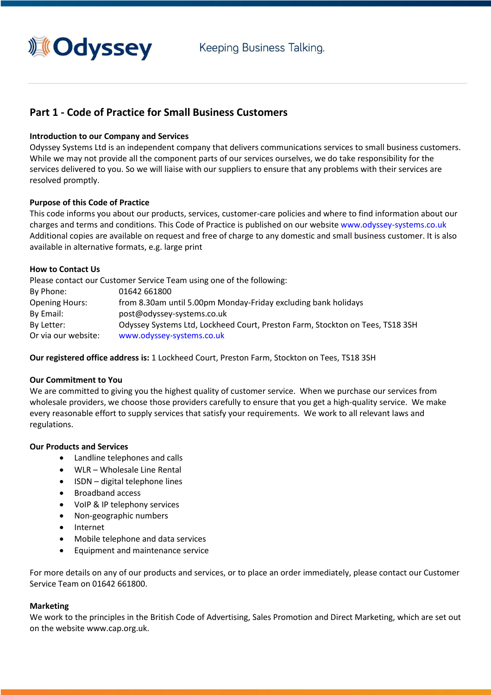

# **Part 1 - Code of Practice for Small Business Customers**

## **Introduction to our Company and Services**

Odyssey Systems Ltd is an independent company that delivers communications services to small business customers. While we may not provide all the component parts of our services ourselves, we do take responsibility for the services delivered to you. So we will liaise with our suppliers to ensure that any problems with their services are resolved promptly.

## **Purpose of this Code of Practice**

This code informs you about our products, services, customer-care policies and where to find information about our charges and terms and conditions. This Code of Practice is published on our website [www.odyssey-systems.co.uk](https://www.odyssey-systems.co.uk/) Additional copies are available on request and free of charge to any domestic and small business customer. It is also available in alternative formats, e.g. large print

## **How to Contact Us**

Please contact our Customer Service Team using one of the following: By Phone: 01642 661800 Opening Hours: from 8.30am until 5.00pm Monday-Friday excluding bank holidays By Email: post@odyssey-systems.co.uk By Letter: Odyssey Systems Ltd, Lockheed Court, Preston Farm, Stockton on Tees, TS18 3SH Or via our website: [www.odyssey-systems.co.uk](https://www.odyssey-systems.co.uk/)

**Our registered office address is:** 1 Lockheed Court, Preston Farm, Stockton on Tees, TS18 3SH

## **Our Commitment to You**

We are committed to giving you the highest quality of customer service. When we purchase our services from wholesale providers, we choose those providers carefully to ensure that you get a high-quality service. We make every reasonable effort to supply services that satisfy your requirements. We work to all relevant laws and regulations.

## **Our Products and Services**

- Landline telephones and calls
- WLR Wholesale Line Rental
- ISDN digital telephone lines
- Broadband access
- VoIP & IP telephony services
- Non-geographic numbers
- Internet
- Mobile telephone and data services
- Equipment and maintenance service

For more details on any of our products and services, or to place an order immediately, please contact our Customer Service Team on 01642 661800.

#### **Marketing**

We work to the principles in the British Code of Advertising, Sales Promotion and Direct Marketing, which are set out on the website [www.cap.org.uk.](http://www.cap.org.uk/)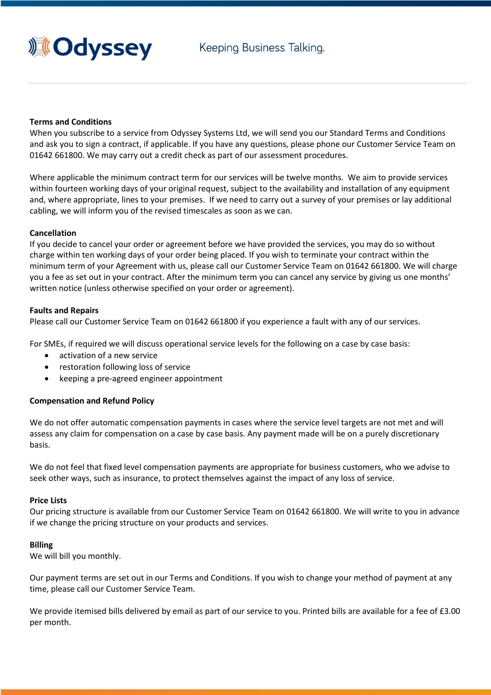

## **Terms and Conditions**

When you subscribe to a service from Odyssey Systems Ltd, we will send you our Standard Terms and Conditions and ask you to sign a contract, if applicable. If you have any questions, please phone our Customer Service Team on 01642 661800. We may carry out a credit check as part of our assessment procedures.

Where applicable the minimum contract term for our services will be twelve months. We aim to provide services within fourteen working days of your original request, subject to the availability and installation of any equipment and, where appropriate, lines to your premises. If we need to carry out a survey of your premises or lay additional cabling, we will inform you of the revised timescales as soon as we can.

## **Cancellation**

If you decide to cancel your order or agreement before we have provided the services, you may do so without charge within ten working days of your order being placed. If you wish to terminate your contract within the minimum term of your Agreement with us, please call our Customer Service Team on 01642 661800. We will charge you a fee as set out in your contract. After the minimum term you can cancel any service by giving us one months' written notice (unless otherwise specified on your order or agreement).

## **Faults and Repairs**

Please call our Customer Service Team on 01642 661800 if you experience a fault with any of our services.

For SMEs, if required we will discuss operational service levels for the following on a case by case basis:

- activation of a new service
- restoration following loss of service
- keeping a pre-agreed engineer appointment

# **Compensation and Refund Policy**

We do not offer automatic compensation payments in cases where the service level targets are not met and will assess any claim for compensation on a case by case basis. Any payment made will be on a purely discretionary basis.

We do not feel that fixed level compensation payments are appropriate for business customers, who we advise to seek other ways, such as insurance, to protect themselves against the impact of any loss of service.

## **Price Lists**

Our pricing structure is available from our Customer Service Team on 01642 661800. We will write to you in advance if we change the pricing structure on your products and services.

## **Billing**

We will bill you monthly.

Our payment terms are set out in our Terms and Conditions. If you wish to change your method of payment at any time, please call our Customer Service Team.

We provide itemised bills delivered by email as part of our service to you. Printed bills are available for a fee of £3.00 per month.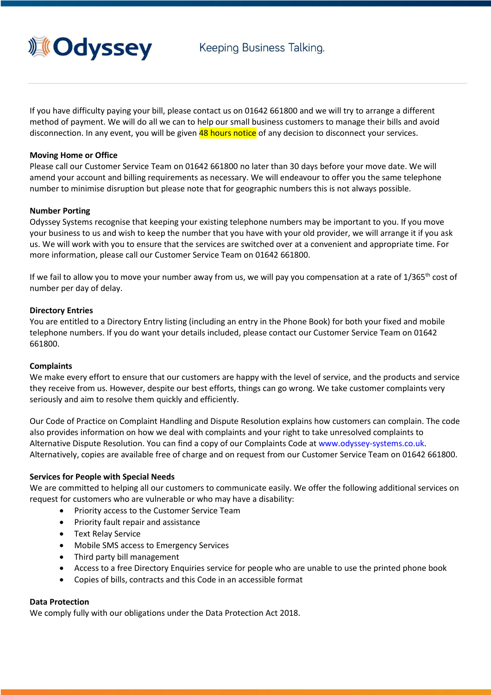

If you have difficulty paying your bill, please contact us on 01642 661800 and we will try to arrange a different method of payment. We will do all we can to help our small business customers to manage their bills and avoid disconnection. In any event, you will be given 48 hours notice of any decision to disconnect your services.

## **Moving Home or Office**

Please call our Customer Service Team on 01642 661800 no later than 30 days before your move date. We will amend your account and billing requirements as necessary. We will endeavour to offer you the same telephone number to minimise disruption but please note that for geographic numbers this is not always possible.

## **Number Porting**

Odyssey Systems recognise that keeping your existing telephone numbers may be important to you. If you move your business to us and wish to keep the number that you have with your old provider, we will arrange it if you ask us. We will work with you to ensure that the services are switched over at a convenient and appropriate time. For more information, please call our Customer Service Team on 01642 661800.

If we fail to allow you to move your number away from us, we will pay you compensation at a rate of  $1/365^{\text{th}}$  cost of number per day of delay.

## **Directory Entries**

You are entitled to a Directory Entry listing (including an entry in the Phone Book) for both your fixed and mobile telephone numbers. If you do want your details included, please contact our Customer Service Team on 01642 661800.

#### **Complaints**

We make every effort to ensure that our customers are happy with the level of service, and the products and service they receive from us. However, despite our best efforts, things can go wrong. We take customer complaints very seriously and aim to resolve them quickly and efficiently.

Our Code of Practice on Complaint Handling and Dispute Resolution explains how customers can complain. The code also provides information on how we deal with complaints and your right to take unresolved complaints to Alternative Dispute Resolution. You can find a copy of our Complaints Code at [www.odyssey-systems.co.uk.](https://www.odyssey-systems.co.uk/) Alternatively, copies are available free of charge and on request from our Customer Service Team on 01642 661800.

#### **Services for People with Special Needs**

We are committed to helping all our customers to communicate easily. We offer the following additional services on request for customers who are vulnerable or who may have a disability:

- Priority access to the Customer Service Team
- Priority fault repair and assistance
- Text Relay Service
- Mobile SMS access to Emergency Services
- Third party bill management
- Access to a free Directory Enquiries service for people who are unable to use the printed phone book
- Copies of bills, contracts and this Code in an accessible format

#### **Data Protection**

We comply fully with our obligations under the Data Protection Act 2018.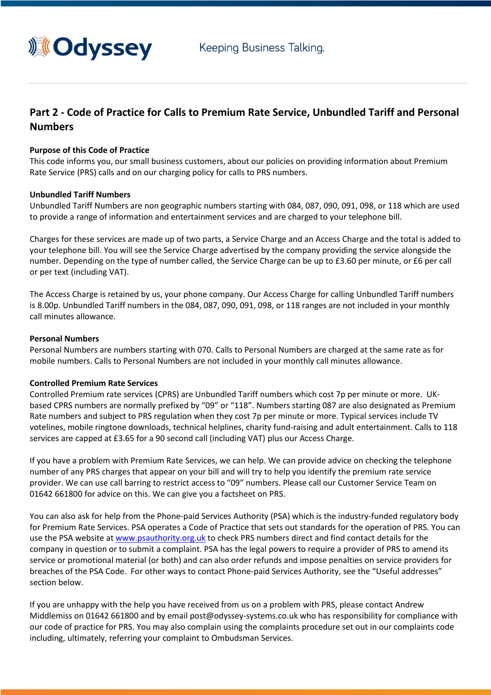

# **Part 2 - Code of Practice for Calls to Premium Rate Service, Unbundled Tariff and Personal Numbers**

## **Purpose of this Code of Practice**

This code informs you, our small business customers, about our policies on providing information about Premium Rate Service (PRS) calls and on our charging policy for calls to PRS numbers.

## **Unbundled Tariff Numbers**

Unbundled Tariff Numbers are non geographic numbers starting with 084, 087, 090, 091, 098, or 118 which are used to provide a range of information and entertainment services and are charged to your telephone bill.

Charges for these services are made up of two parts, a Service Charge and an Access Charge and the total is added to your telephone bill. You will see the Service Charge advertised by the company providing the service alongside the number. Depending on the type of number called, the Service Charge can be up to £3.60 per minute, or £6 per call or per text (including VAT).

The Access Charge is retained by us, your phone company. Our Access Charge for calling Unbundled Tariff numbers is 8.00p. Unbundled Tariff numbers in the 084, 087, 090, 091, 098, or 118 ranges are not included in your monthly call minutes allowance.

## **Personal Numbers**

Personal Numbers are numbers starting with 070. Calls to Personal Numbers are charged at the same rate as for mobile numbers. Calls to Personal Numbers are not included in your monthly call minutes allowance.

## **Controlled Premium Rate Services**

Controlled Premium rate services (CPRS) are Unbundled Tariff numbers which cost 7p per minute or more. UKbased CPRS numbers are normally prefixed by "09" or "118". Numbers starting 087 are also designated as Premium Rate numbers and subject to PRS regulation when they cost 7p per minute or more. Typical services include TV votelines, mobile ringtone downloads, technical helplines, charity fund-raising and adult entertainment. Calls to 118 services are capped at £3.65 for a 90 second call (including VAT) plus our Access Charge.

If you have a problem with Premium Rate Services, we can help. We can provide advice on checking the telephone number of any PRS charges that appear on your bill and will try to help you identify the premium rate service provider. We can use call barring to restrict access to "09" numbers. Please call our Customer Service Team on 01642 661800 for advice on this. We can give you a factsheet on PRS.

You can also ask for help from the Phone-paid Services Authority (PSA) which is the industry-funded regulatory body for Premium Rate Services. PSA operates a Code of Practice that sets out standards for the operation of PRS. You can use the PSA website at [www.psauthority.org.uk](http://www.psauthority.org.uk/) to check PRS numbers direct and find contact details for the company in question or to submit a complaint. PSA has the legal powers to require a provider of PRS to amend its service or promotional material (or both) and can also order refunds and impose penalties on service providers for breaches of the PSA Code. For other ways to contact Phone-paid Services Authority, see the "Useful addresses" section below.

If you are unhappy with the help you have received from us on a problem with PRS, please contact Andrew Middlemiss on 01642 661800 and by email post@odyssey-systems.co.uk who has responsibility for compliance with our code of practice for PRS. You may also complain using the complaints procedure set out in our complaints code including, ultimately, referring your complaint to Ombudsman Services.